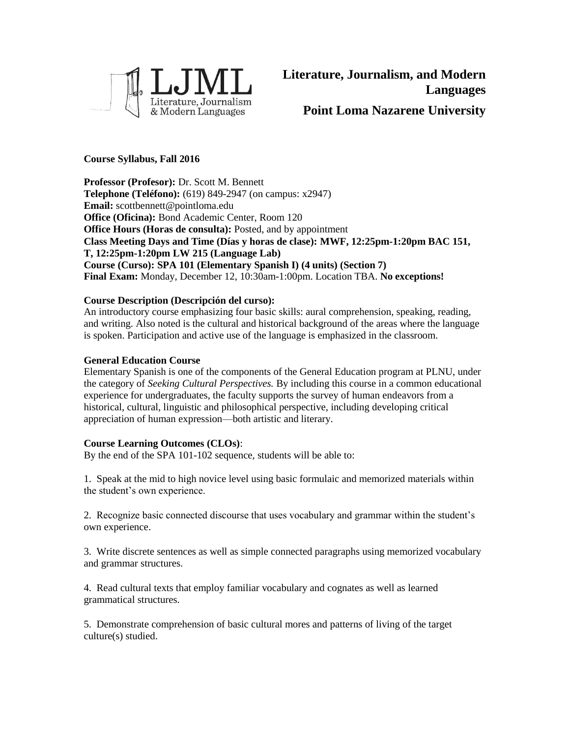

# **Course Syllabus, Fall 2016**

**Professor (Profesor):** Dr. Scott M. Bennett **Telephone (Teléfono):** (619) 849-2947 (on campus: x2947) **Email:** scottbennett@pointloma.edu **Office (Oficina):** Bond Academic Center, Room 120 **Office Hours (Horas de consulta):** Posted, and by appointment **Class Meeting Days and Time (Días y horas de clase): MWF, 12:25pm-1:20pm BAC 151, T, 12:25pm-1:20pm LW 215 (Language Lab) Course (Curso): SPA 101 (Elementary Spanish I) (4 units) (Section 7) Final Exam:** Monday, December 12, 10:30am-1:00pm. Location TBA. **No exceptions!**

# **Course Description (Descripción del curso):**

An introductory course emphasizing four basic skills: aural comprehension, speaking, reading, and writing. Also noted is the cultural and historical background of the areas where the language is spoken. Participation and active use of the language is emphasized in the classroom.

# **General Education Course**

Elementary Spanish is one of the components of the General Education program at PLNU, under the category of *Seeking Cultural Perspectives.* By including this course in a common educational experience for undergraduates, the faculty supports the survey of human endeavors from a historical, cultural, linguistic and philosophical perspective, including developing critical appreciation of human expression—both artistic and literary.

# **Course Learning Outcomes (CLOs)**:

By the end of the SPA 101-102 sequence, students will be able to:

1. Speak at the mid to high novice level using basic formulaic and memorized materials within the student's own experience.

2. Recognize basic connected discourse that uses vocabulary and grammar within the student's own experience.

3. Write discrete sentences as well as simple connected paragraphs using memorized vocabulary and grammar structures.

4. Read cultural texts that employ familiar vocabulary and cognates as well as learned grammatical structures.

5. Demonstrate comprehension of basic cultural mores and patterns of living of the target culture(s) studied.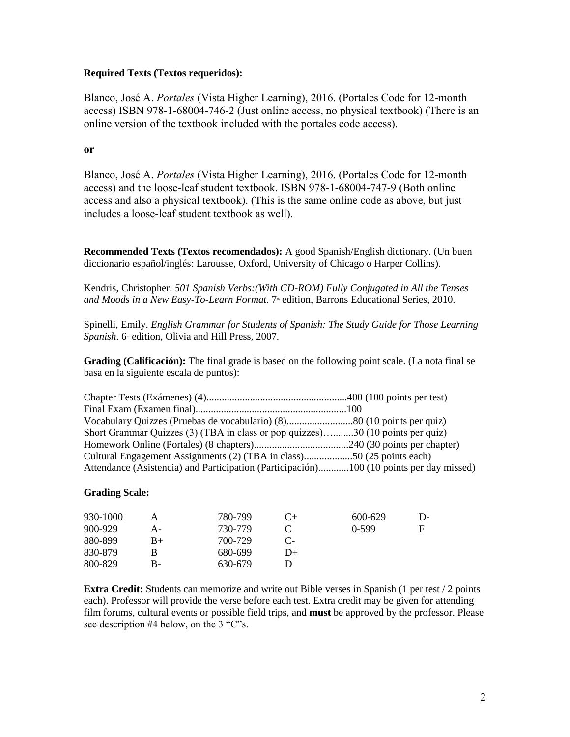## **Required Texts (Textos requeridos):**

Blanco, José A. *Portales* (Vista Higher Learning), 2016. (Portales Code for 12-month access) ISBN 978-1-68004-746-2 (Just online access, no physical textbook) (There is an online version of the textbook included with the portales code access).

## **or**

Blanco, José A. *Portales* (Vista Higher Learning), 2016. (Portales Code for 12-month access) and the loose-leaf student textbook. ISBN 978-1-68004-747-9 (Both online access and also a physical textbook). (This is the same online code as above, but just includes a loose-leaf student textbook as well).

**Recommended Texts (Textos recomendados):** A good Spanish/English dictionary. (Un buen diccionario español/inglés: Larousse, Oxford, University of Chicago o Harper Collins).

Kendris, Christopher. *501 Spanish Verbs:(With CD-ROM) Fully Conjugated in All the Tenses and Moods in a New Easy-To-Learn Format.* 7<sup>th</sup> edition, Barrons Educational Series, 2010.

Spinelli, Emily. *English Grammar for Students of Spanish: The Study Guide for Those Learning*  Spanish. 6<sup>th</sup> edition, Olivia and Hill Press, 2007.

**Grading (Calificación):** The final grade is based on the following point scale. (La nota final se basa en la siguiente escala de puntos):

| Short Grammar Quizzes (3) (TBA in class or pop quizzes)30 (10 points per quiz)          |  |
|-----------------------------------------------------------------------------------------|--|
|                                                                                         |  |
| Cultural Engagement Assignments (2) (TBA in class)50 (25 points each)                   |  |
| Attendance (Asistencia) and Participation (Participación)100 (10 points per day missed) |  |

#### **Grading Scale:**

| 930-1000 |      | 780-799 | ( `+   | 600-629 | l )- |
|----------|------|---------|--------|---------|------|
| 900-929  | A-   | 730-779 |        | $0-599$ | F    |
| 880-899  | $B+$ | 700-729 |        |         |      |
| 830-879  |      | 680-699 | $1) +$ |         |      |
| 800-829  | В-   | 630-679 |        |         |      |

**Extra Credit:** Students can memorize and write out Bible verses in Spanish (1 per test / 2 points each). Professor will provide the verse before each test. Extra credit may be given for attending film forums, cultural events or possible field trips, and **must** be approved by the professor. Please see description #4 below, on the 3 "C"s.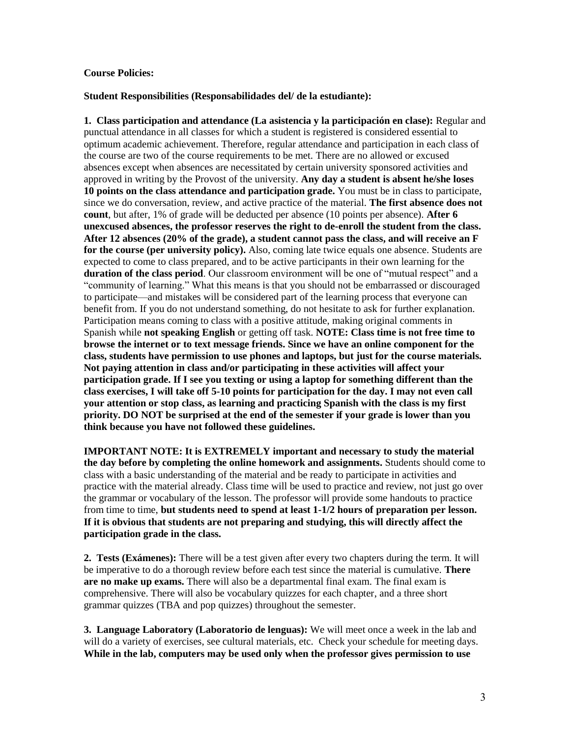#### **Course Policies:**

#### **Student Responsibilities (Responsabilidades del/ de la estudiante):**

**1. Class participation and attendance (La asistencia y la participación en clase):** Regular and punctual attendance in all classes for which a student is registered is considered essential to optimum academic achievement. Therefore, regular attendance and participation in each class of the course are two of the course requirements to be met. There are no allowed or excused absences except when absences are necessitated by certain university sponsored activities and approved in writing by the Provost of the university. **Any day a student is absent he/she loses 10 points on the class attendance and participation grade.** You must be in class to participate, since we do conversation, review, and active practice of the material. **The first absence does not count**, but after, 1% of grade will be deducted per absence (10 points per absence). **After 6 unexcused absences, the professor reserves the right to de-enroll the student from the class. After 12 absences (20% of the grade), a student cannot pass the class, and will receive an F for the course (per university policy).** Also, coming late twice equals one absence. Students are expected to come to class prepared, and to be active participants in their own learning for the **duration of the class period**. Our classroom environment will be one of "mutual respect" and a "community of learning." What this means is that you should not be embarrassed or discouraged to participate—and mistakes will be considered part of the learning process that everyone can benefit from. If you do not understand something, do not hesitate to ask for further explanation. Participation means coming to class with a positive attitude, making original comments in Spanish while **not speaking English** or getting off task. **NOTE: Class time is not free time to browse the internet or to text message friends. Since we have an online component for the class, students have permission to use phones and laptops, but just for the course materials. Not paying attention in class and/or participating in these activities will affect your participation grade. If I see you texting or using a laptop for something different than the class exercises, I will take off 5-10 points for participation for the day. I may not even call your attention or stop class, as learning and practicing Spanish with the class is my first priority. DO NOT be surprised at the end of the semester if your grade is lower than you think because you have not followed these guidelines.**

**IMPORTANT NOTE: It is EXTREMELY important and necessary to study the material the day before by completing the online homework and assignments.** Students should come to class with a basic understanding of the material and be ready to participate in activities and practice with the material already. Class time will be used to practice and review, not just go over the grammar or vocabulary of the lesson. The professor will provide some handouts to practice from time to time, **but students need to spend at least 1-1/2 hours of preparation per lesson. If it is obvious that students are not preparing and studying, this will directly affect the participation grade in the class.**

**2. Tests (Exámenes):** There will be a test given after every two chapters during the term. It will be imperative to do a thorough review before each test since the material is cumulative. **There are no make up exams.** There will also be a departmental final exam. The final exam is comprehensive. There will also be vocabulary quizzes for each chapter, and a three short grammar quizzes (TBA and pop quizzes) throughout the semester.

**3. Language Laboratory (Laboratorio de lenguas):** We will meet once a week in the lab and will do a variety of exercises, see cultural materials, etc. Check your schedule for meeting days. **While in the lab, computers may be used only when the professor gives permission to use**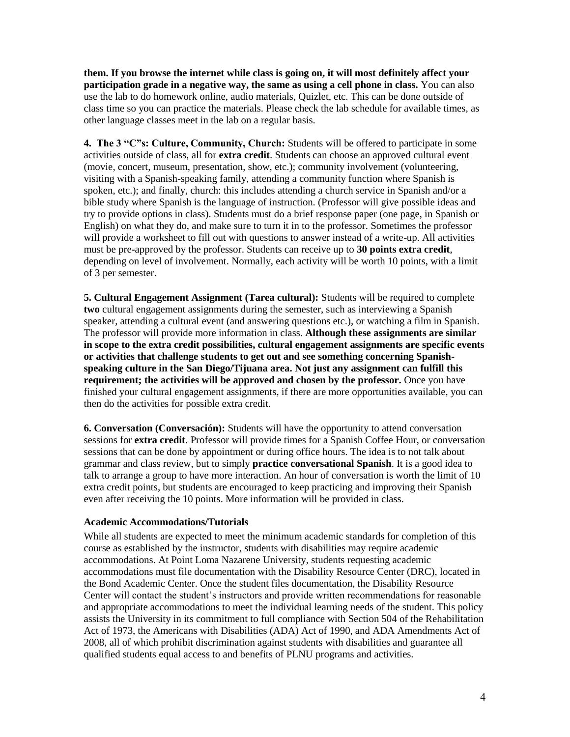**them. If you browse the internet while class is going on, it will most definitely affect your participation grade in a negative way, the same as using a cell phone in class.** You can also use the lab to do homework online, audio materials, Quizlet, etc. This can be done outside of class time so you can practice the materials. Please check the lab schedule for available times, as other language classes meet in the lab on a regular basis.

**4. The 3 "C"s: Culture, Community, Church:** Students will be offered to participate in some activities outside of class, all for **extra credit**. Students can choose an approved cultural event (movie, concert, museum, presentation, show, etc.); community involvement (volunteering, visiting with a Spanish-speaking family, attending a community function where Spanish is spoken, etc.); and finally, church: this includes attending a church service in Spanish and/or a bible study where Spanish is the language of instruction. (Professor will give possible ideas and try to provide options in class). Students must do a brief response paper (one page, in Spanish or English) on what they do, and make sure to turn it in to the professor. Sometimes the professor will provide a worksheet to fill out with questions to answer instead of a write-up. All activities must be pre-approved by the professor. Students can receive up to **30 points extra credit**, depending on level of involvement. Normally, each activity will be worth 10 points, with a limit of 3 per semester.

**5. Cultural Engagement Assignment (Tarea cultural):** Students will be required to complete **two** cultural engagement assignments during the semester, such as interviewing a Spanish speaker, attending a cultural event (and answering questions etc.), or watching a film in Spanish. The professor will provide more information in class. **Although these assignments are similar in scope to the extra credit possibilities, cultural engagement assignments are specific events or activities that challenge students to get out and see something concerning Spanishspeaking culture in the San Diego/Tijuana area. Not just any assignment can fulfill this requirement; the activities will be approved and chosen by the professor.** Once you have finished your cultural engagement assignments, if there are more opportunities available, you can then do the activities for possible extra credit.

**6. Conversation (Conversación):** Students will have the opportunity to attend conversation sessions for **extra credit**. Professor will provide times for a Spanish Coffee Hour, or conversation sessions that can be done by appointment or during office hours. The idea is to not talk about grammar and class review, but to simply **practice conversational Spanish**. It is a good idea to talk to arrange a group to have more interaction. An hour of conversation is worth the limit of 10 extra credit points, but students are encouraged to keep practicing and improving their Spanish even after receiving the 10 points. More information will be provided in class.

# **Academic Accommodations/Tutorials**

While all students are expected to meet the minimum academic standards for completion of this course as established by the instructor, students with disabilities may require academic accommodations. At Point Loma Nazarene University, students requesting academic accommodations must file documentation with the Disability Resource Center (DRC), located in the Bond Academic Center. Once the student files documentation, the Disability Resource Center will contact the student's instructors and provide written recommendations for reasonable and appropriate accommodations to meet the individual learning needs of the student. This policy assists the University in its commitment to full compliance with Section 504 of the Rehabilitation Act of 1973, the Americans with Disabilities (ADA) Act of 1990, and ADA Amendments Act of 2008, all of which prohibit discrimination against students with disabilities and guarantee all qualified students equal access to and benefits of PLNU programs and activities.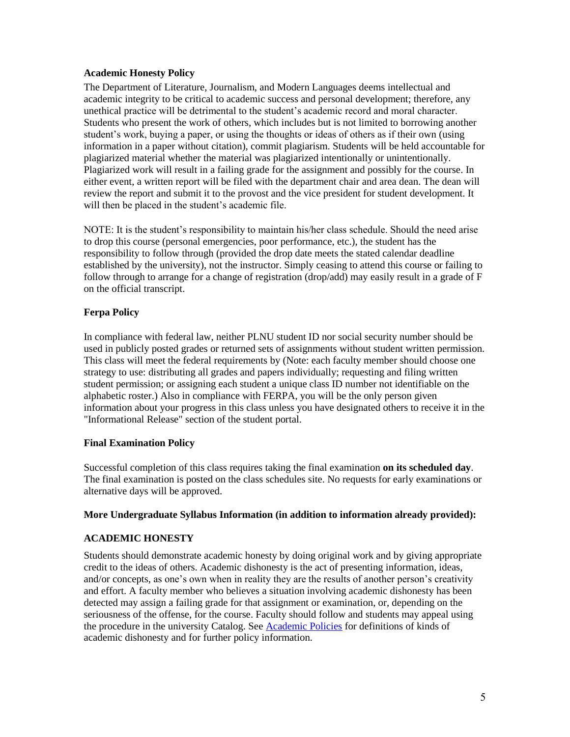# **Academic Honesty Policy**

The Department of Literature, Journalism, and Modern Languages deems intellectual and academic integrity to be critical to academic success and personal development; therefore, any unethical practice will be detrimental to the student's academic record and moral character. Students who present the work of others, which includes but is not limited to borrowing another student's work, buying a paper, or using the thoughts or ideas of others as if their own (using information in a paper without citation), commit plagiarism. Students will be held accountable for plagiarized material whether the material was plagiarized intentionally or unintentionally. Plagiarized work will result in a failing grade for the assignment and possibly for the course. In either event, a written report will be filed with the department chair and area dean. The dean will review the report and submit it to the provost and the vice president for student development. It will then be placed in the student's academic file.

NOTE: It is the student's responsibility to maintain his/her class schedule. Should the need arise to drop this course (personal emergencies, poor performance, etc.), the student has the responsibility to follow through (provided the drop date meets the stated calendar deadline established by the university), not the instructor. Simply ceasing to attend this course or failing to follow through to arrange for a change of registration (drop/add) may easily result in a grade of F on the official transcript.

# **Ferpa Policy**

In compliance with federal law, neither PLNU student ID nor social security number should be used in publicly posted grades or returned sets of assignments without student written permission. This class will meet the federal requirements by (Note: each faculty member should choose one strategy to use: distributing all grades and papers individually; requesting and filing written student permission; or assigning each student a unique class ID number not identifiable on the alphabetic roster.) Also in compliance with FERPA, you will be the only person given information about your progress in this class unless you have designated others to receive it in the "Informational Release" section of the student portal.

# **Final Examination Policy**

Successful completion of this class requires taking the final examination **on its scheduled day**. The final examination is posted on the class schedules site. No requests for early examinations or alternative days will be approved.

# **More Undergraduate Syllabus Information (in addition to information already provided):**

# **ACADEMIC HONESTY**

Students should demonstrate academic honesty by doing original work and by giving appropriate credit to the ideas of others. Academic dishonesty is the act of presenting information, ideas, and/or concepts, as one's own when in reality they are the results of another person's creativity and effort. A faculty member who believes a situation involving academic dishonesty has been detected may assign a failing grade for that assignment or examination, or, depending on the seriousness of the offense, for the course. Faculty should follow and students may appeal using the procedure in the university Catalog. See [Academic Policies](http://catalog.pointloma.edu/content.php?catoid=18&navoid=1278) for definitions of kinds of academic dishonesty and for further policy information.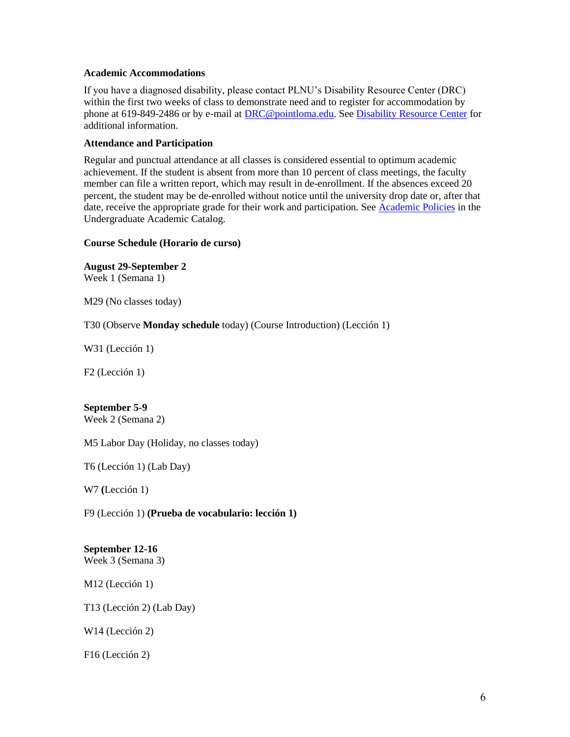#### **Academic Accommodations**

If you have a diagnosed disability, please contact PLNU's Disability Resource Center (DRC) within the first two weeks of class to demonstrate need and to register for accommodation by phone at 619-849-2486 or by e-mail at [DRC@pointloma.edu.](mailto:DRC@pointloma.edu) Se[e Disability Resource Center](http://www.pointloma.edu/experience/offices/administrative-offices/academic-advising-office/disability-resource-center) for additional information.

# **Attendance and Participation**

Regular and punctual attendance at all classes is considered essential to optimum academic achievement. If the student is absent from more than 10 percent of class meetings, the faculty member can file a written report, which may result in de-enrollment. If the absences exceed 20 percent, the student may be de-enrolled without notice until the university drop date or, after that date, receive the appropriate grade for their work and participation. See [Academic Policies](http://catalog.pointloma.edu/content.php?catoid=18&navoid=1278) in the Undergraduate Academic Catalog.

# **Course Schedule (Horario de curso)**

**August 29-September 2** Week 1 (Semana 1)

M29 (No classes today)

T30 (Observe **Monday schedule** today) (Course Introduction) (Lección 1)

W31 (Lección 1)

F2 (Lección 1)

# **September 5-9**

Week 2 (Semana 2)

M5 Labor Day (Holiday, no classes today)

T6 (Lección 1) (Lab Day)

W7 **(**Lección 1)

F9 (Lección 1) **(Prueba de vocabulario: lección 1)**

# **September 12-16**

Week 3 (Semana 3)

M12 (Lección 1)

T13 (Lección 2) (Lab Day)

W14 (Lección 2)

F16 (Lección 2)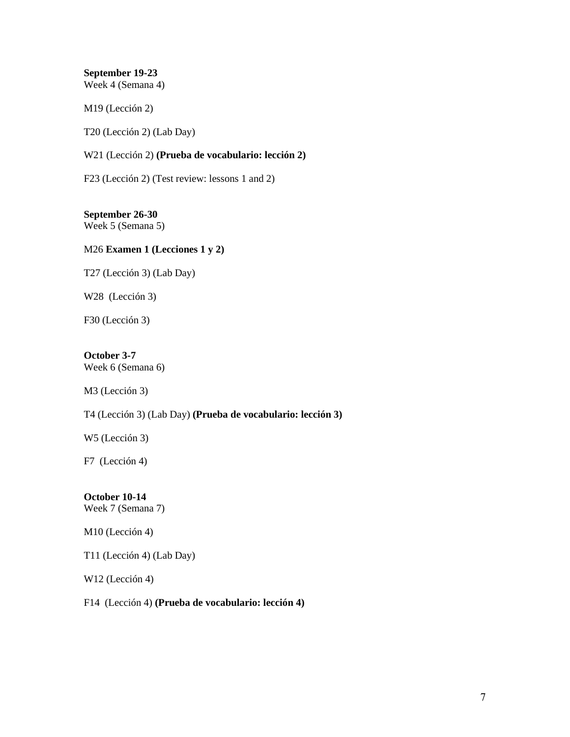**September 19-23** Week 4 (Semana 4)

M19 (Lección 2)

T20 (Lección 2) (Lab Day)

W21 (Lección 2) **(Prueba de vocabulario: lección 2)**

F23 (Lección 2) (Test review: lessons 1 and 2)

**September 26-30** Week 5 (Semana 5)

# M26 **Examen 1 (Lecciones 1 y 2)**

T27 (Lección 3) (Lab Day)

W28 (Lección 3)

F30 (Lección 3)

# **October 3-7**

Week 6 (Semana 6)

M3 (Lección 3)

T4 (Lección 3) (Lab Day) **(Prueba de vocabulario: lección 3)**

W5 (Lección 3)

F7 (Lección 4)

# **October 10-14**

Week 7 (Semana 7)

M10 (Lección 4)

T11 (Lección 4) (Lab Day)

W12 (Lección 4)

F14 (Lección 4) **(Prueba de vocabulario: lección 4)**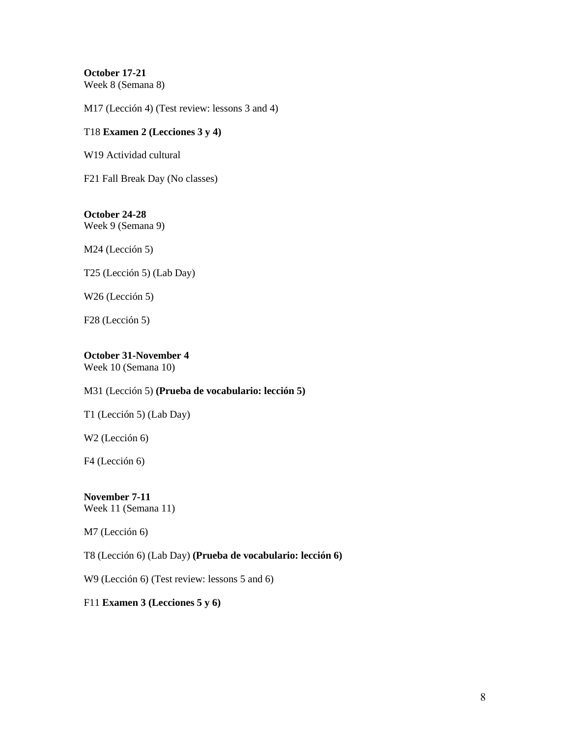**October 17-21** Week 8 (Semana 8)

M17 (Lección 4) (Test review: lessons 3 and 4)

#### T18 **Examen 2 (Lecciones 3 y 4)**

W19 Actividad cultural

F21 Fall Break Day (No classes)

# **October 24-28** Week 9 (Semana 9)

M24 (Lección 5)

T25 (Lección 5) (Lab Day)

W26 (Lección 5)

F28 (Lección 5)

# **October 31-November 4**

Week 10 (Semana 10)

## M31 (Lección 5) **(Prueba de vocabulario: lección 5)**

T1 (Lección 5) (Lab Day)

W2 (Lección 6)

F4 (Lección 6)

#### **November 7-11** Week 11 (Semana 11)

M7 (Lección 6)

T8 (Lección 6) (Lab Day) **(Prueba de vocabulario: lección 6)**

W9 (Lección 6) (Test review: lessons 5 and 6)

#### F11 **Examen 3 (Lecciones 5 y 6)**